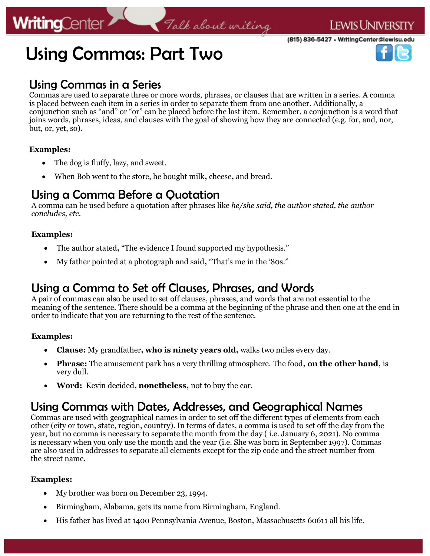# **WritingCenter**

(815) 836-5427 • WritingCenter@lewisu.edu



# Using Commas: Part Two

### Using Commas in a Series

Commas are used to separate three or more words, phrases, or clauses that are written in a series. A comma is placed between each item in a series in order to separate them from one another. Additionally, a conjunction such as "and" or "or" can be placed before the last item. Remember, a conjunction is a word that joins words, phrases, ideas, and clauses with the goal of showing how they are connected (e.g. for, and, nor, but, or, yet, so).

Talk about writing

#### **Examples:**

- The dog is fluffy, lazy, and sweet.
- When Bob went to the store, he bought milk**,** cheese**,** and bread.

## Using a Comma Before a Quotation

A comma can be used before a quotation after phrases like *he/she said, the author stated, the author concludes, etc.* 

#### **Examples:**

- The author stated**,** "The evidence I found supported my hypothesis."
- My father pointed at a photograph and said**,** "That's me in the '80s."

# Using a Comma to Set off Clauses, Phrases, and Words

A pair of commas can also be used to set off clauses, phrases, and words that are not essential to the meaning of the sentence. There should be a comma at the beginning of the phrase and then one at the end in order to indicate that you are returning to the rest of the sentence.

#### **Examples:**

- **Clause:** My grandfather**, who is ninety years old,** walks two miles every day.
- **Phrase:** The amusement park has a very thrilling atmosphere. The food**, on the other hand,** is very dull.
- **Word:** Kevin decided**, nonetheless,** not to buy the car.

### Using Commas with Dates, Addresses, and Geographical Names

Commas are used with geographical names in order to set off the different types of elements from each other (city or town, state, region, country). In terms of dates, a comma is used to set off the day from the year, but no comma is necessary to separate the month from the day ( i.e. January 6, 2021). No comma is necessary when you only use the month and the year (i.e. She was born in September 1997). Commas are also used in addresses to separate all elements except for the zip code and the street number from the street name.

#### **Examples:**

- My brother was born on December 23, 1994.
- Birmingham, Alabama, gets its name from Birmingham, England.
- His father has lived at 1400 Pennsylvania Avenue, Boston, Massachusetts 60611 all his life.